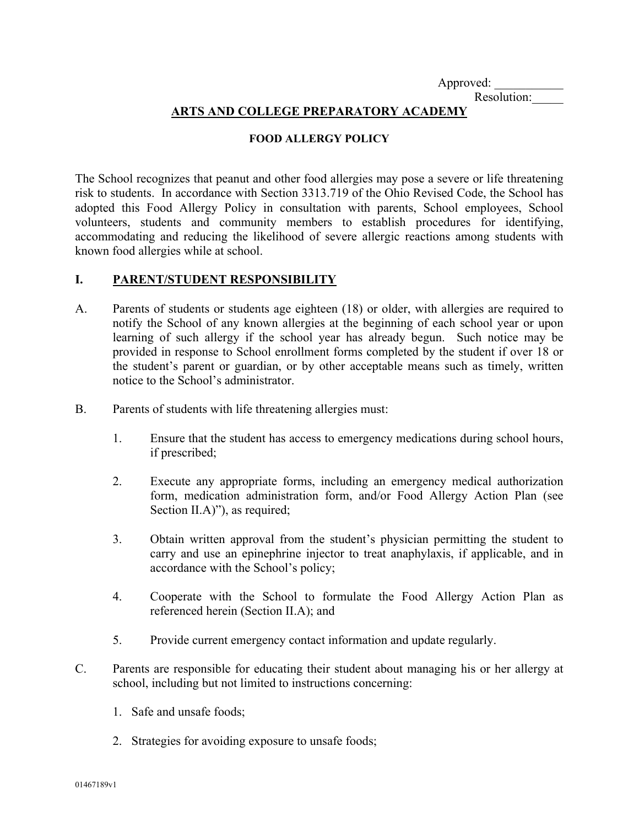Approved:

Resolution:\_\_\_\_\_

## **ARTS AND COLLEGE PREPARATORY ACADEMY**

## **FOOD ALLERGY POLICY**

The School recognizes that peanut and other food allergies may pose a severe or life threatening risk to students. In accordance with Section 3313.719 of the Ohio Revised Code, the School has adopted this Food Allergy Policy in consultation with parents, School employees, School volunteers, students and community members to establish procedures for identifying, accommodating and reducing the likelihood of severe allergic reactions among students with known food allergies while at school.

## **I. PARENT/STUDENT RESPONSIBILITY**

- A. Parents of students or students age eighteen (18) or older, with allergies are required to notify the School of any known allergies at the beginning of each school year or upon learning of such allergy if the school year has already begun. Such notice may be provided in response to School enrollment forms completed by the student if over 18 or the student's parent or guardian, or by other acceptable means such as timely, written notice to the School's administrator.
- B. Parents of students with life threatening allergies must:
	- 1. Ensure that the student has access to emergency medications during school hours, if prescribed;
	- 2. Execute any appropriate forms, including an emergency medical authorization form, medication administration form, and/or Food Allergy Action Plan (see Section II.A)", as required;
	- 3. Obtain written approval from the student's physician permitting the student to carry and use an epinephrine injector to treat anaphylaxis, if applicable, and in accordance with the School's policy;
	- 4. Cooperate with the School to formulate the Food Allergy Action Plan as referenced herein (Section II.A); and
	- 5. Provide current emergency contact information and update regularly.
- C. Parents are responsible for educating their student about managing his or her allergy at school, including but not limited to instructions concerning:
	- 1. Safe and unsafe foods;
	- 2. Strategies for avoiding exposure to unsafe foods;